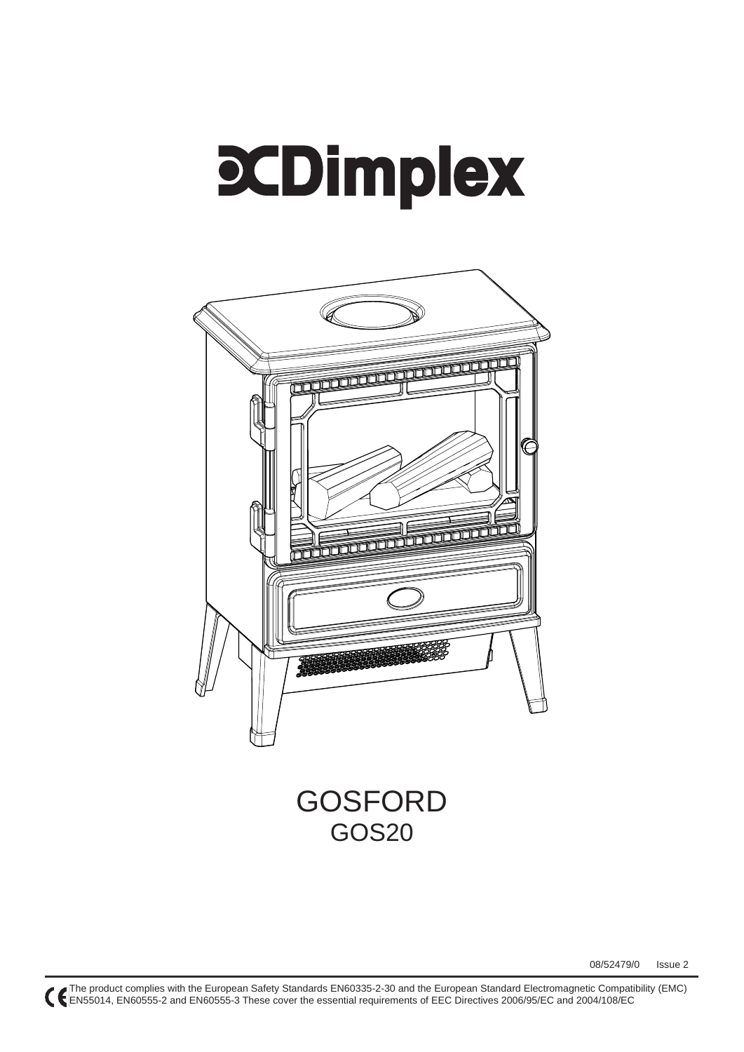# **SCDimplex**



## GOSFORD GOS20

08/52479/0 Issue 2

The product complies with the European Safety Standards EN60335-2-30 and the European Standard Electromagnetic Compatibility (EMC) EN55014, EN60555-2 and EN60555-3 These cover the essential requirements of EEC Directives 2006/95/EC and 2004/108/EC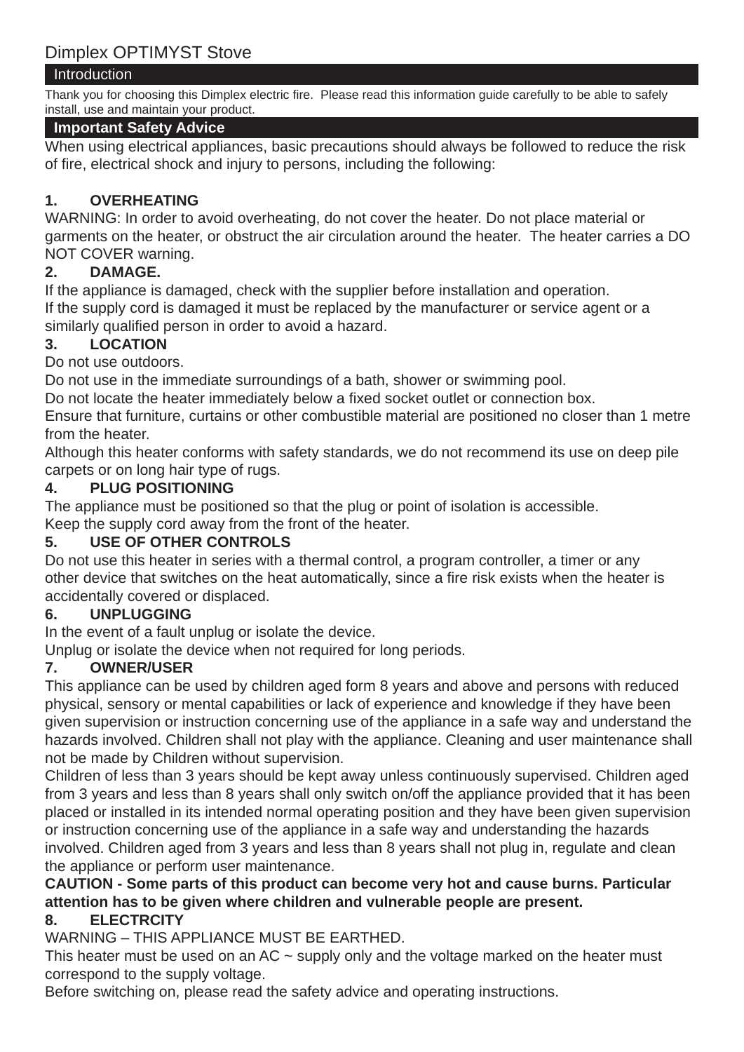## Introduction

Thank you for choosing this Dimplex electric fire. Please read this information guide carefully to be able to safely install, use and maintain your product.

## **Important Safety Advice**

When using electrical appliances, basic precautions should always be followed to reduce the risk of fire, electrical shock and injury to persons, including the following:

## **1. OVERHEATING**

WARNING: In order to avoid overheating, do not cover the heater. Do not place material or garments on the heater, or obstruct the air circulation around the heater. The heater carries a DO NOT COVER warning.

## **2. DAMAGE.**

If the appliance is damaged, check with the supplier before installation and operation. If the supply cord is damaged it must be replaced by the manufacturer or service agent or a similarly qualified person in order to avoid a hazard.

## **3. LOCATION**

Do not use outdoors.

Do not use in the immediate surroundings of a bath, shower or swimming pool.

Do not locate the heater immediately below a fixed socket outlet or connection box.

Ensure that furniture, curtains or other combustible material are positioned no closer than 1 metre from the heater.

Although this heater conforms with safety standards, we do not recommend its use on deep pile carpets or on long hair type of rugs.

## **4. PLUG POSITIONING**

The appliance must be positioned so that the plug or point of isolation is accessible.

Keep the supply cord away from the front of the heater.

## **5. USE OF OTHER CONTROLS**

Do not use this heater in series with a thermal control, a program controller, a timer or any other device that switches on the heat automatically, since a fire risk exists when the heater is accidentally covered or displaced.

## **6. UNPLUGGING**

In the event of a fault unplug or isolate the device.

Unplug or isolate the device when not required for long periods.

## **7. OWNER/USER**

This appliance can be used by children aged form 8 years and above and persons with reduced physical, sensory or mental capabilities or lack of experience and knowledge if they have been given supervision or instruction concerning use of the appliance in a safe way and understand the hazards involved. Children shall not play with the appliance. Cleaning and user maintenance shall not be made by Children without supervision.

Children of less than 3 years should be kept away unless continuously supervised. Children aged from 3 years and less than 8 years shall only switch on/off the appliance provided that it has been placed or installed in its intended normal operating position and they have been given supervision or instruction concerning use of the appliance in a safe way and understanding the hazards involved. Children aged from 3 years and less than 8 years shall not plug in, regulate and clean the appliance or perform user maintenance.

## **CAUTION - Some parts of this product can become very hot and cause burns. Particular attention has to be given where children and vulnerable people are present.**

## **8. ELECTRCITY**

WARNING – THIS APPLIANCE MUST BE EARTHED.

This heater must be used on an AC  $\sim$  supply only and the voltage marked on the heater must correspond to the supply voltage.

Before switching on, please read the safety advice and operating instructions.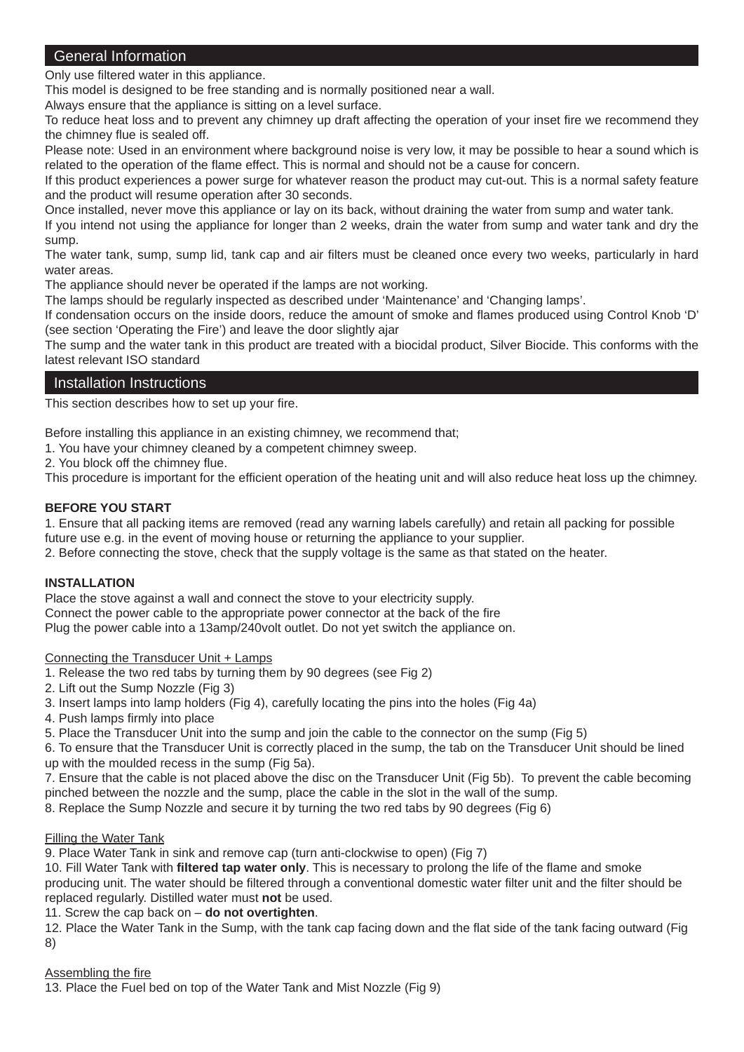### General Information

Only use filtered water in this appliance.

This model is designed to be free standing and is normally positioned near a wall.

Always ensure that the appliance is sitting on a level surface.

To reduce heat loss and to prevent any chimney up draft affecting the operation of your inset fire we recommend they the chimney flue is sealed off.

Please note: Used in an environment where background noise is very low, it may be possible to hear a sound which is related to the operation of the flame effect. This is normal and should not be a cause for concern.

If this product experiences a power surge for whatever reason the product may cut-out. This is a normal safety feature and the product will resume operation after 30 seconds.

Once installed, never move this appliance or lay on its back, without draining the water from sump and water tank.

If you intend not using the appliance for longer than 2 weeks, drain the water from sump and water tank and dry the sump.

The water tank, sump, sump lid, tank cap and air filters must be cleaned once every two weeks, particularly in hard water areas.

The appliance should never be operated if the lamps are not working.

The lamps should be regularly inspected as described under 'Maintenance' and 'Changing lamps'.

If condensation occurs on the inside doors, reduce the amount of smoke and flames produced using Control Knob 'D' (see section 'Operating the Fire') and leave the door slightly ajar

The sump and the water tank in this product are treated with a biocidal product, Silver Biocide. This conforms with the latest relevant ISO standard

#### Installation Instructions

This section describes how to set up your fire.

Before installing this appliance in an existing chimney, we recommend that;

1. You have your chimney cleaned by a competent chimney sweep.

2. You block off the chimney flue.

This procedure is important for the efficient operation of the heating unit and will also reduce heat loss up the chimney.

#### **BEFORE YOU START**

1. Ensure that all packing items are removed (read any warning labels carefully) and retain all packing for possible future use e.g. in the event of moving house or returning the appliance to your supplier.

2. Before connecting the stove, check that the supply voltage is the same as that stated on the heater.

#### **INSTALLATION**

Place the stove against a wall and connect the stove to your electricity supply. Connect the power cable to the appropriate power connector at the back of the fire Plug the power cable into a 13amp/240volt outlet. Do not yet switch the appliance on.

#### Connecting the Transducer Unit + Lamps

1. Release the two red tabs by turning them by 90 degrees (see Fig 2)

- 2. Lift out the Sump Nozzle (Fig 3)
- 3. Insert lamps into lamp holders (Fig 4), carefully locating the pins into the holes (Fig 4a)
- 4. Push lamps firmly into place
- 5. Place the Transducer Unit into the sump and join the cable to the connector on the sump (Fig 5)

6. To ensure that the Transducer Unit is correctly placed in the sump, the tab on the Transducer Unit should be lined up with the moulded recess in the sump (Fig 5a).

7. Ensure that the cable is not placed above the disc on the Transducer Unit (Fig 5b). To prevent the cable becoming pinched between the nozzle and the sump, place the cable in the slot in the wall of the sump.

8. Replace the Sump Nozzle and secure it by turning the two red tabs by 90 degrees (Fig 6)

#### Filling the Water Tank

9. Place Water Tank in sink and remove cap (turn anti-clockwise to open) (Fig 7)

10. Fill Water Tank with **filtered tap water only**. This is necessary to prolong the life of the flame and smoke producing unit. The water should be filtered through a conventional domestic water filter unit and the filter should be replaced regularly. Distilled water must **not** be used.

11. Screw the cap back on – **do not overtighten**.

12. Place the Water Tank in the Sump, with the tank cap facing down and the flat side of the tank facing outward (Fig 8)

#### Assembling the fire

13. Place the Fuel bed on top of the Water Tank and Mist Nozzle (Fig 9)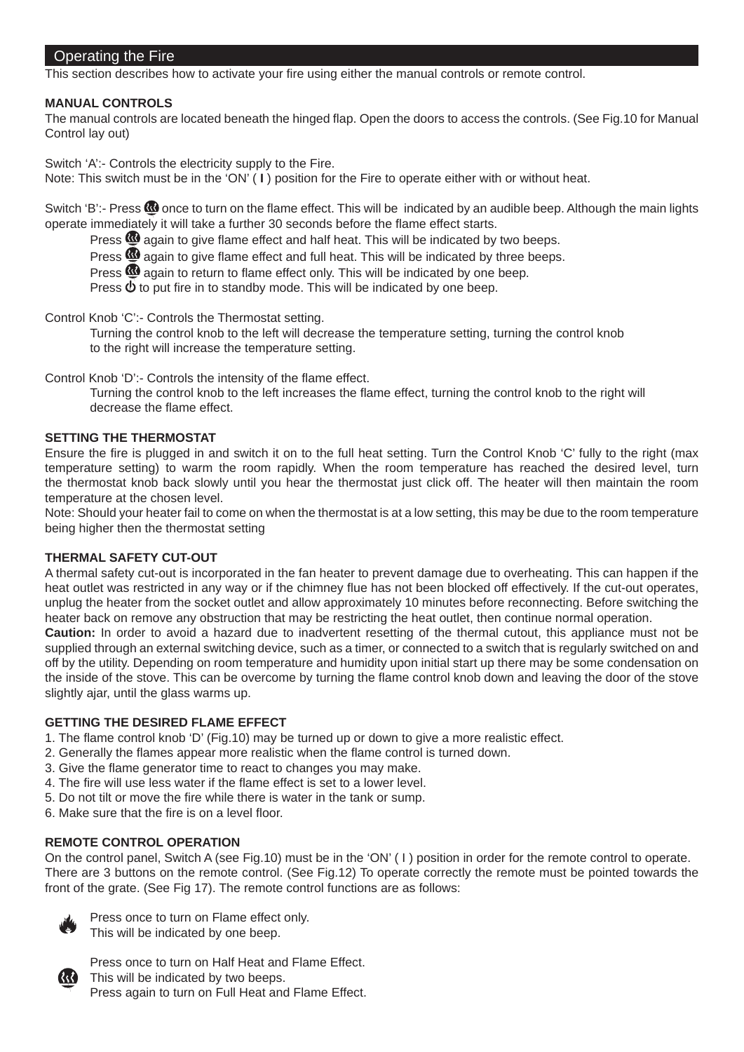#### Operating the Fire

This section describes how to activate your fire using either the manual controls or remote control.

#### **MANUAL CONTROLS**

The manual controls are located beneath the hinged flap. Open the doors to access the controls. (See Fig.10 for Manual Control lay out)

Switch 'A':- Controls the electricity supply to the Fire.

Note: This switch must be in the 'ON' ( **I** ) position for the Fire to operate either with or without heat.

Switch 'B':- Press  $\Omega$  once to turn on the flame effect. This will be indicated by an audible beep. Although the main lights operate immediately it will take a further 30 seconds before the flame effect starts.

Press  $\mathbf{\Omega}$  again to give flame effect and half heat. This will be indicated by two beeps.

Press  $\mathbf{\mathfrak{B}}$  again to give flame effect and full heat. This will be indicated by three beeps.

Press  $\mathbf{\Omega}$  again to return to flame effect only. This will be indicated by one beep.

Press  $\Phi$  to put fire in to standby mode. This will be indicated by one beep.

Control Knob 'C':- Controls the Thermostat setting.

 Turning the control knob to the left will decrease the temperature setting, turning the control knob to the right will increase the temperature setting.

Control Knob 'D':- Controls the intensity of the flame effect.

Turning the control knob to the left increases the flame effect, turning the control knob to the right will decrease the flame effect

#### **SETTING THE THERMOSTAT**

Ensure the fire is plugged in and switch it on to the full heat setting. Turn the Control Knob 'C' fully to the right (max temperature setting) to warm the room rapidly. When the room temperature has reached the desired level, turn the thermostat knob back slowly until you hear the thermostat just click off. The heater will then maintain the room temperature at the chosen level.

Note: Should your heater fail to come on when the thermostat is at a low setting, this may be due to the room temperature being higher then the thermostat setting

#### **THERMAL SAFETY CUT-OUT**

A thermal safety cut-out is incorporated in the fan heater to prevent damage due to overheating. This can happen if the heat outlet was restricted in any way or if the chimney flue has not been blocked off effectively. If the cut-out operates, unplug the heater from the socket outlet and allow approximately 10 minutes before reconnecting. Before switching the heater back on remove any obstruction that may be restricting the heat outlet, then continue normal operation.

**Caution:** In order to avoid a hazard due to inadvertent resetting of the thermal cutout, this appliance must not be supplied through an external switching device, such as a timer, or connected to a switch that is regularly switched on and off by the utility. Depending on room temperature and humidity upon initial start up there may be some condensation on the inside of the stove. This can be overcome by turning the flame control knob down and leaving the door of the stove slightly ajar, until the glass warms up.

#### **GETTING THE DESIRED FLAME EFFECT**

- 1. The flame control knob 'D' (Fig.10) may be turned up or down to give a more realistic effect.
- 2. Generally the flames appear more realistic when the flame control is turned down.
- 3. Give the flame generator time to react to changes you may make.
- 4. The fire will use less water if the flame effect is set to a lower level.
- 5. Do not tilt or move the fire while there is water in the tank or sump.
- 6. Make sure that the fire is on a level floor.

#### **REMOTE CONTROL OPERATION**

On the control panel, Switch A (see Fig.10) must be in the 'ON' ( I ) position in order for the remote control to operate. There are 3 buttons on the remote control. (See Fig.12) To operate correctly the remote must be pointed towards the front of the grate. (See Fig 17). The remote control functions are as follows:



 Press once to turn on Flame effect only. This will be indicated by one beep.



 Press once to turn on Half Heat and Flame Effect. This will be indicated by two beeps. Press again to turn on Full Heat and Flame Effect.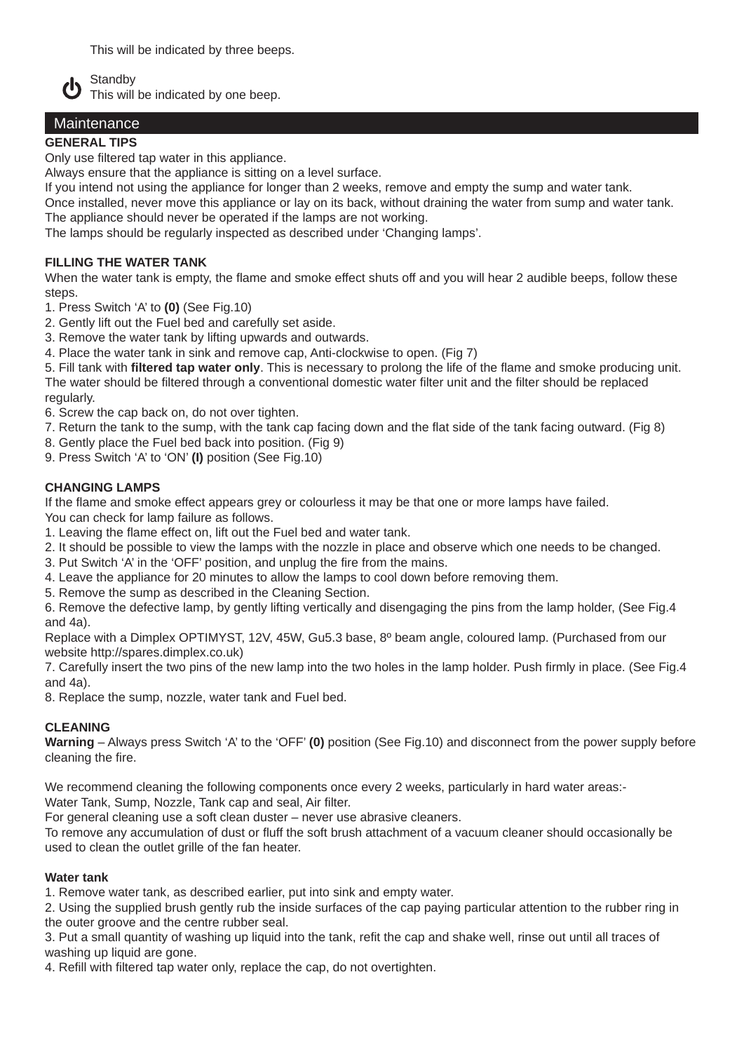This will be indicated by three beeps.



 $\bigwedge_{\text{This will}}^{\text{Standby}}$ This will be indicated by one beep.

## **Maintenance**

#### **GENERAL TIPS**

Only use filtered tap water in this appliance.

Always ensure that the appliance is sitting on a level surface.

If you intend not using the appliance for longer than 2 weeks, remove and empty the sump and water tank.

Once installed, never move this appliance or lay on its back, without draining the water from sump and water tank. The appliance should never be operated if the lamps are not working.

The lamps should be regularly inspected as described under 'Changing lamps'.

#### **FILLING THE WATER TANK**

When the water tank is empty, the flame and smoke effect shuts off and you will hear 2 audible beeps, follow these steps.

- 1. Press Switch 'A' to **(0)** (See Fig.10)
- 2. Gently lift out the Fuel bed and carefully set aside.
- 3. Remove the water tank by lifting upwards and outwards.
- 4. Place the water tank in sink and remove cap, Anti-clockwise to open. (Fig 7)

5. Fill tank with **filtered tap water only**. This is necessary to prolong the life of the flame and smoke producing unit. The water should be filtered through a conventional domestic water filter unit and the filter should be replaced regularly.

6. Screw the cap back on, do not over tighten.

7. Return the tank to the sump, with the tank cap facing down and the flat side of the tank facing outward. (Fig 8)

8. Gently place the Fuel bed back into position. (Fig 9)

9. Press Switch 'A' to 'ON' **(I)** position (See Fig.10)

#### **CHANGING LAMPS**

If the flame and smoke effect appears grey or colourless it may be that one or more lamps have failed. You can check for lamp failure as follows.

1. Leaving the flame effect on, lift out the Fuel bed and water tank.

2. It should be possible to view the lamps with the nozzle in place and observe which one needs to be changed.

3. Put Switch 'A' in the 'OFF' position, and unplug the fire from the mains.

4. Leave the appliance for 20 minutes to allow the lamps to cool down before removing them.

5. Remove the sump as described in the Cleaning Section.

6. Remove the defective lamp, by gently lifting vertically and disengaging the pins from the lamp holder, (See Fig.4 and 4a).

Replace with a Dimplex OPTIMYST, 12V, 45W, Gu5.3 base, 8º beam angle, coloured lamp. (Purchased from our website http://spares.dimplex.co.uk)

7. Carefully insert the two pins of the new lamp into the two holes in the lamp holder. Push firmly in place. (See Fig.4 and 4a).

8. Replace the sump, nozzle, water tank and Fuel bed.

#### **CLEANING**

**Warning** – Always press Switch 'A' to the 'OFF' **(0)** position (See Fig.10) and disconnect from the power supply before cleaning the fire.

We recommend cleaning the following components once every 2 weeks, particularly in hard water areas:-Water Tank, Sump, Nozzle, Tank cap and seal, Air filter.

For general cleaning use a soft clean duster – never use abrasive cleaners.

To remove any accumulation of dust or fluff the soft brush attachment of a vacuum cleaner should occasionally be used to clean the outlet grille of the fan heater.

#### **Water tank**

1. Remove water tank, as described earlier, put into sink and empty water.

2. Using the supplied brush gently rub the inside surfaces of the cap paying particular attention to the rubber ring in the outer groove and the centre rubber seal.

3. Put a small quantity of washing up liquid into the tank, refit the cap and shake well, rinse out until all traces of washing up liquid are gone.

4. Refill with filtered tap water only, replace the cap, do not overtighten.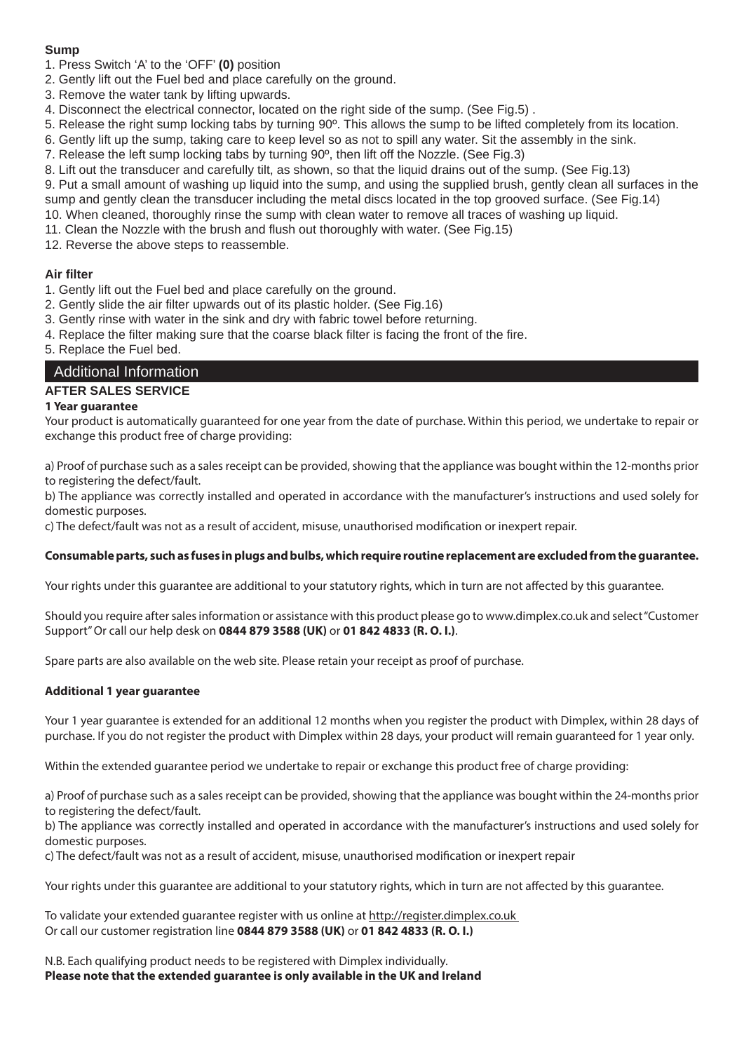#### **Sump**

1. Press Switch 'A' to the 'OFF' **(0)** position

- 2. Gently lift out the Fuel bed and place carefully on the ground.
- 3. Remove the water tank by lifting upwards.
- 4. Disconnect the electrical connector, located on the right side of the sump. (See Fig.5) .
- 5. Release the right sump locking tabs by turning 90º. This allows the sump to be lifted completely from its location.
- 6. Gently lift up the sump, taking care to keep level so as not to spill any water. Sit the assembly in the sink.
- 7. Release the left sump locking tabs by turning 90º, then lift off the Nozzle. (See Fig.3)

8. Lift out the transducer and carefully tilt, as shown, so that the liquid drains out of the sump. (See Fig.13)

9. Put a small amount of washing up liquid into the sump, and using the supplied brush, gently clean all surfaces in the sump and gently clean the transducer including the metal discs located in the top grooved surface. (See Fig.14) 10. When cleaned, thoroughly rinse the sump with clean water to remove all traces of washing up liquid.

- 11. Clean the Nozzle with the brush and flush out thoroughly with water. (See Fig.15)
- 12. Reverse the above steps to reassemble.

#### **Air filter**

- 1. Gently lift out the Fuel bed and place carefully on the ground.
- 2. Gently slide the air filter upwards out of its plastic holder. (See Fig.16)

3. Gently rinse with water in the sink and dry with fabric towel before returning.

4. Replace the filter making sure that the coarse black filter is facing the front of the fire.

5. Replace the Fuel bed.

#### Additional Information

#### **AFTER SALES SERVICE**

#### **1 Year guarantee**

Your product is automatically guaranteed for one year from the date of purchase. Within this period, we undertake to repair or exchange this product free of charge providing:

a) Proof of purchase such as a sales receipt can be provided, showing that the appliance was bought within the 12-months prior to registering the defect/fault.

b) The appliance was correctly installed and operated in accordance with the manufacturer's instructions and used solely for domestic purposes.

c) The defect/fault was not as a result of accident, misuse, unauthorised modification or inexpert repair.

#### **Consumable parts, such as fuses in plugs and bulbs, which require routine replacement are excluded from the guarantee.**

Your rights under this guarantee are additional to your statutory rights, which in turn are not affected by this guarantee.

Should you require after sales information or assistance with this product please go to www.dimplex.co.uk and select "Customer Support" Or call our help desk on **0844 879 3588 (UK)** or **01 842 4833 (R. O. I.)**.

Spare parts are also available on the web site. Please retain your receipt as proof of purchase.

#### **Additional 1 year guarantee**

Your 1 year guarantee is extended for an additional 12 months when you register the product with Dimplex, within 28 days of purchase. If you do not register the product with Dimplex within 28 days, your product will remain guaranteed for 1 year only.

Within the extended guarantee period we undertake to repair or exchange this product free of charge providing:

a) Proof of purchase such as a sales receipt can be provided, showing that the appliance was bought within the 24-months prior to registering the defect/fault.

b) The appliance was correctly installed and operated in accordance with the manufacturer's instructions and used solely for domestic purposes.

c) The defect/fault was not as a result of accident, misuse, unauthorised modification or inexpert repair

Your rights under this guarantee are additional to your statutory rights, which in turn are not affected by this guarantee.

To validate your extended guarantee register with us online at http://register.dimplex.co.uk Or call our customer registration line **0844 879 3588 (UK)** or **01 842 4833 (R. O. I.)**

N.B. Each qualifying product needs to be registered with Dimplex individually. **Please note that the extended guarantee is only available in the UK and Ireland**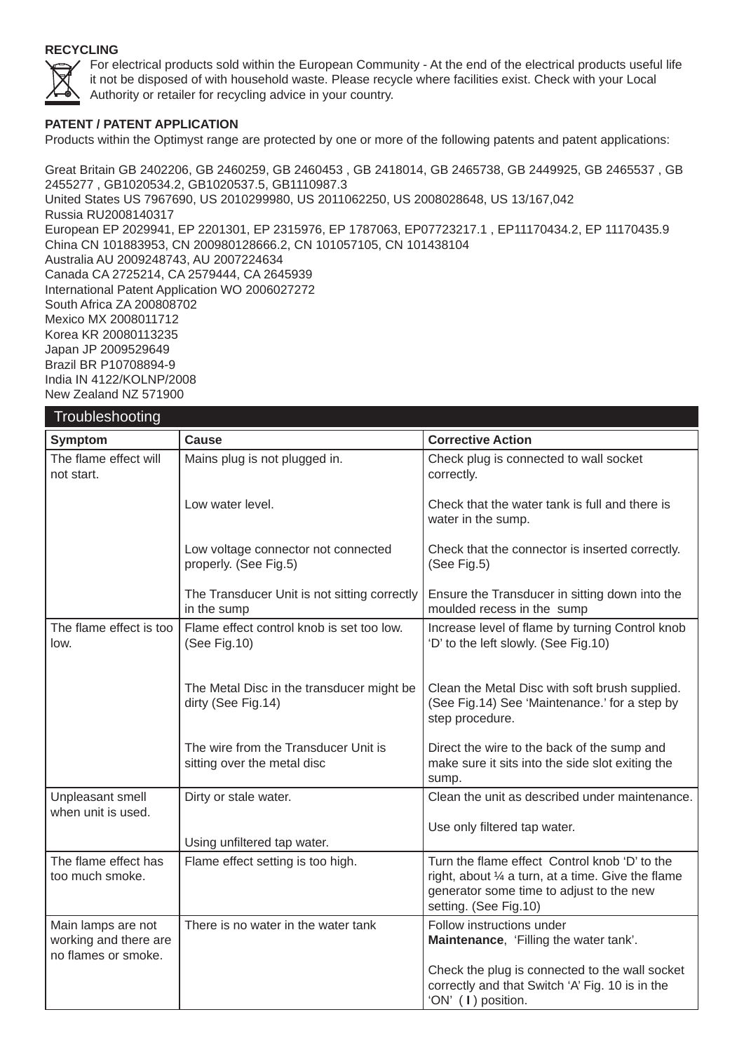#### **RECYCLING**



 For electrical products sold within the European Community - At the end of the electrical products useful life it not be disposed of with household waste. Please recycle where facilities exist. Check with your Local Authority or retailer for recycling advice in your country.

#### **PATENT / PATENT APPLICATION**

Products within the Optimyst range are protected by one or more of the following patents and patent applications:

Great Britain GB 2402206, GB 2460259, GB 2460453 , GB 2418014, GB 2465738, GB 2449925, GB 2465537 , GB 2455277 , GB1020534.2, GB1020537.5, GB1110987.3 United States US 7967690, US 2010299980, US 2011062250, US 2008028648, US 13/167,042 Russia RU2008140317 European EP 2029941, EP 2201301, EP 2315976, EP 1787063, EP07723217.1 , EP11170434.2, EP 11170435.9 China CN 101883953, CN 200980128666.2, CN 101057105, CN 101438104 Australia AU 2009248743, AU 2007224634 Canada CA 2725214, CA 2579444, CA 2645939 International Patent Application WO 2006027272 South Africa ZA 200808702 Mexico MX 2008011712 Korea KR 20080113235 Japan JP 2009529649 Brazil BR P10708894-9 India IN 4122/KOLNP/2008 New Zealand NZ 571900

| Troubleshooting                                                    |                                                                     |                                                                                                                                                                          |
|--------------------------------------------------------------------|---------------------------------------------------------------------|--------------------------------------------------------------------------------------------------------------------------------------------------------------------------|
| Symptom                                                            | <b>Cause</b>                                                        | <b>Corrective Action</b>                                                                                                                                                 |
| The flame effect will<br>not start.                                | Mains plug is not plugged in.                                       | Check plug is connected to wall socket<br>correctly.                                                                                                                     |
|                                                                    | Low water level.                                                    | Check that the water tank is full and there is<br>water in the sump.                                                                                                     |
|                                                                    | Low voltage connector not connected<br>properly. (See Fig.5)        | Check that the connector is inserted correctly.<br>(See Fig.5)                                                                                                           |
|                                                                    | The Transducer Unit is not sitting correctly<br>in the sump         | Ensure the Transducer in sitting down into the<br>moulded recess in the sump                                                                                             |
| The flame effect is too<br>low.                                    | Flame effect control knob is set too low.<br>(See Fig.10)           | Increase level of flame by turning Control knob<br>'D' to the left slowly. (See Fig.10)                                                                                  |
|                                                                    | The Metal Disc in the transducer might be<br>dirty (See Fig.14)     | Clean the Metal Disc with soft brush supplied.<br>(See Fig.14) See 'Maintenance.' for a step by<br>step procedure.                                                       |
|                                                                    | The wire from the Transducer Unit is<br>sitting over the metal disc | Direct the wire to the back of the sump and<br>make sure it sits into the side slot exiting the<br>sump.                                                                 |
| Unpleasant smell                                                   | Dirty or stale water.                                               | Clean the unit as described under maintenance.                                                                                                                           |
| when unit is used.                                                 | Using unfiltered tap water.                                         | Use only filtered tap water.                                                                                                                                             |
| The flame effect has<br>too much smoke.                            | Flame effect setting is too high.                                   | Turn the flame effect Control knob 'D' to the<br>right, about 1/4 a turn, at a time. Give the flame<br>generator some time to adjust to the new<br>setting. (See Fig.10) |
| Main lamps are not<br>working and there are<br>no flames or smoke. | There is no water in the water tank                                 | Follow instructions under<br>Maintenance, 'Filling the water tank'.<br>Check the plug is connected to the wall socket<br>correctly and that Switch 'A' Fig. 10 is in the |
|                                                                    |                                                                     | 'ON' (I) position.                                                                                                                                                       |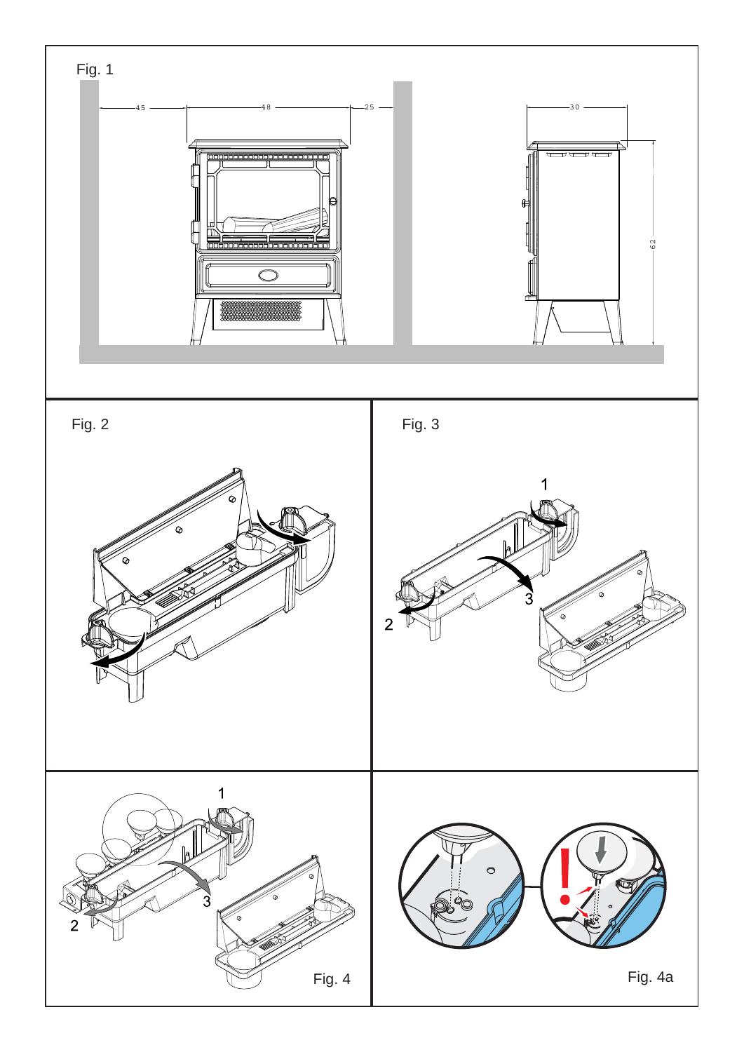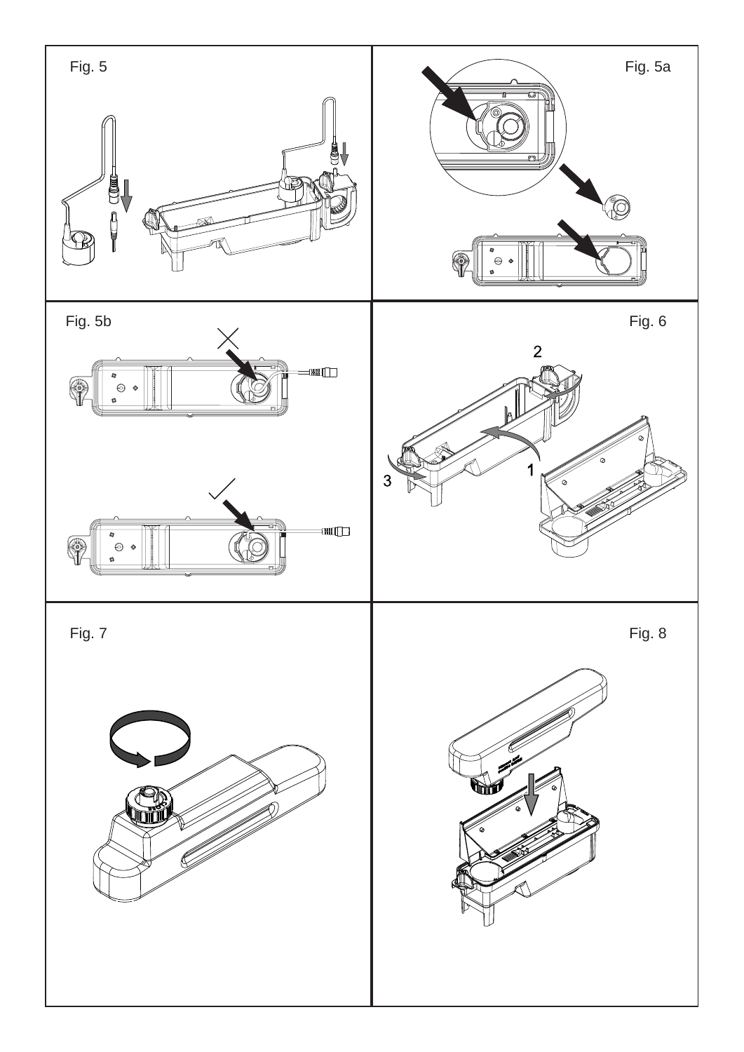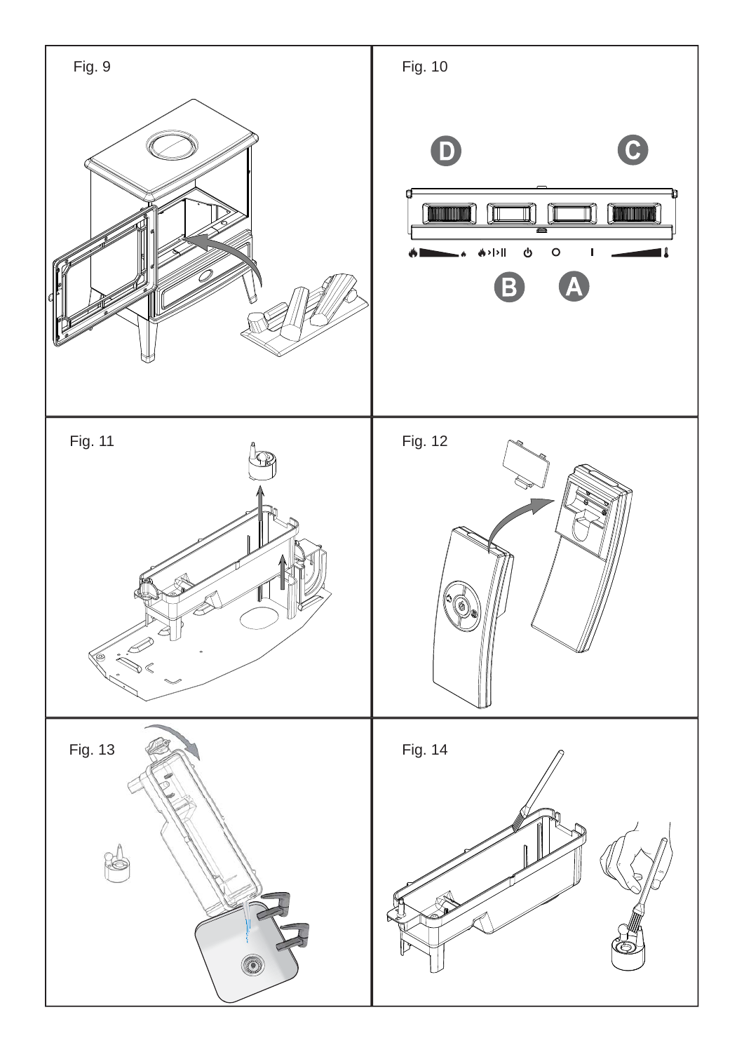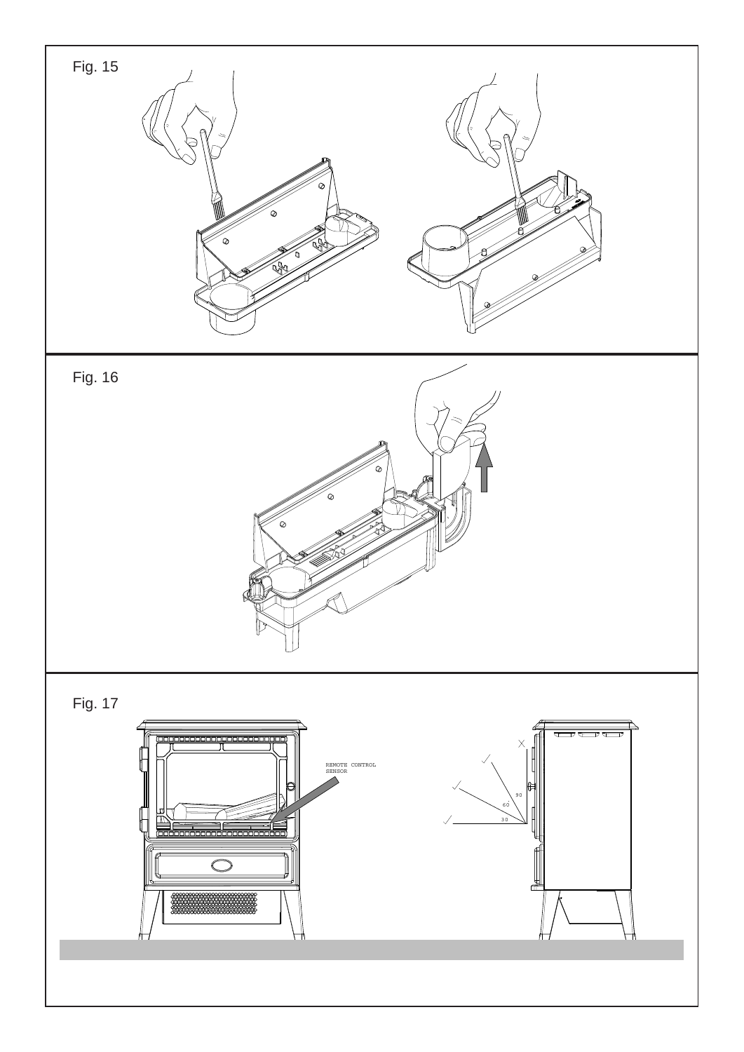